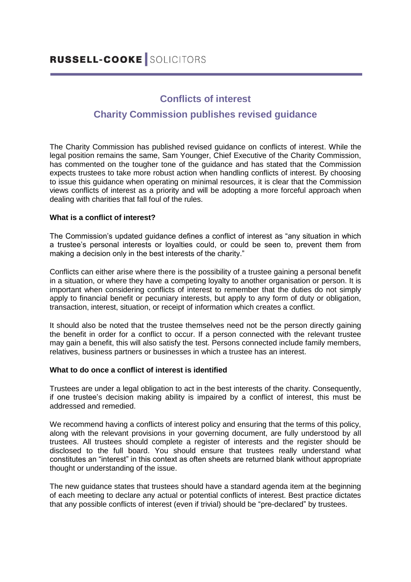# **Conflicts of interest Charity Commission publishes revised guidance**

The Charity Commission has published revised guidance on conflicts of interest. While the legal position remains the same, Sam Younger, Chief Executive of the Charity Commission, has commented on the tougher tone of the guidance and has stated that the Commission expects trustees to take more robust action when handling conflicts of interest. By choosing to issue this guidance when operating on minimal resources, it is clear that the Commission views conflicts of interest as a priority and will be adopting a more forceful approach when dealing with charities that fall foul of the rules.

## **What is a conflict of interest?**

The Commission's updated guidance defines a conflict of interest as "any situation in which a trustee's personal interests or loyalties could, or could be seen to, prevent them from making a decision only in the best interests of the charity."

Conflicts can either arise where there is the possibility of a trustee gaining a personal benefit in a situation, or where they have a competing loyalty to another organisation or person. It is important when considering conflicts of interest to remember that the duties do not simply apply to financial benefit or pecuniary interests, but apply to any form of duty or obligation, transaction, interest, situation, or receipt of information which creates a conflict.

It should also be noted that the trustee themselves need not be the person directly gaining the benefit in order for a conflict to occur. If a person connected with the relevant trustee may gain a benefit, this will also satisfy the test. Persons connected include family members, relatives, business partners or businesses in which a trustee has an interest.

## **What to do once a conflict of interest is identified**

Trustees are under a legal obligation to act in the best interests of the charity. Consequently, if one trustee's decision making ability is impaired by a conflict of interest, this must be addressed and remedied.

We recommend having a conflicts of interest policy and ensuring that the terms of this policy, along with the relevant provisions in your governing document, are fully understood by all trustees. All trustees should complete a register of interests and the register should be disclosed to the full board. You should ensure that trustees really understand what constitutes an "interest" in this context as often sheets are returned blank without appropriate thought or understanding of the issue.

The new guidance states that trustees should have a standard agenda item at the beginning of each meeting to declare any actual or potential conflicts of interest. Best practice dictates that any possible conflicts of interest (even if trivial) should be "pre-declared" by trustees.